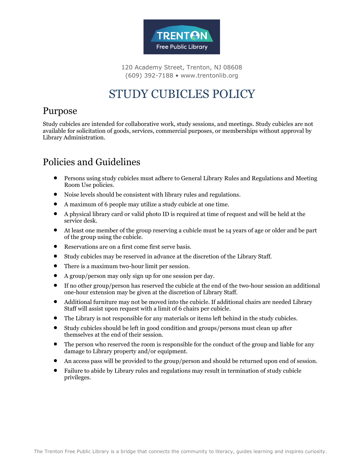

120 Academy Street, Trenton, NJ 08608 (609) 392-7188 • www.trentonlib.org

# STUDY CUBICLES POLICY

#### Purpose

Study cubicles are intended for collaborative work, study sessions, and meetings. Study cubicles are not available for solicitation of goods, services, commercial purposes, or memberships without approval by Library Administration.

## Policies and Guidelines

- Persons using study cubicles must adhere to General Library Rules and Regulations and Meeting Room Use policies.
- Noise levels should be consistent with library rules and regulations.
- A maximum of 6 people may utilize a study cubicle at one time.
- A physical library card or valid photo ID is required at time of request and will be held at the service desk.
- At least one member of the group reserving a cubicle must be 14 years of age or older and be part of the group using the cubicle.
- Reservations are on a first come first serve basis.
- Study cubicles may be reserved in advance at the discretion of the Library Staff.
- There is a maximum two-hour limit per session.
- A group/person may only sign up for one session per day.
- If no other group/person has reserved the cubicle at the end of the two-hour session an additional one-hour extension may be given at the discretion of Library Staff.
- Additional furniture may not be moved into the cubicle. If additional chairs are needed Library Staff will assist upon request with a limit of 6 chairs per cubicle.
- The Library is not responsible for any materials or items left behind in the study cubicles.
- Study cubicles should be left in good condition and groups/persons must clean up after themselves at the end of their session.
- The person who reserved the room is responsible for the conduct of the group and liable for any damage to Library property and/or equipment.
- An access pass will be provided to the group/person and should be returned upon end of session.
- Failure to abide by Library rules and regulations may result in termination of study cubicle privileges.